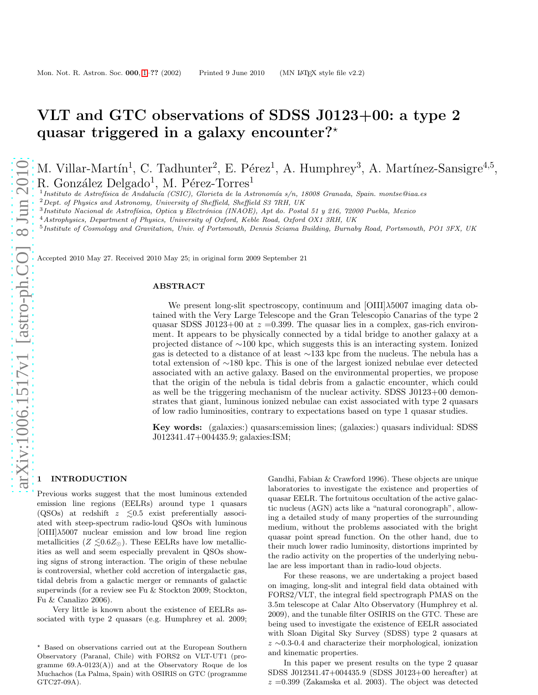# VLT and GTC observations of SDSS J0123+00: a type 2 quasar triggered in a galaxy encounter? $*$

M. Villar-Martín<sup>1</sup>, C. Tadhunter<sup>2</sup>, E. Pérez<sup>1</sup>, A. Humphrey<sup>3</sup>, A. Martínez-Sansigre<sup>4,5</sup>, R. González Delgado<sup>1</sup>, M. Pérez-Torres<sup>1</sup>

 $^1$ Instituto de Astrofísica de Andalucía (CSIC), Glorieta de la Astronomía s/n, 18008 Granada, Spain. montse@iaa.es

<sup>2</sup>Dept. of Physics and Astronomy, University of Sheffield, Sheffield S3 7RH, UK

<sup>3</sup> Instituto Nacional de Astrofísica, Optica y Electrónica (INAOE), Apt do. Postal 51 y 216, 72000 Puebla, Mexico

<sup>4</sup>Astrophysics, Department of Physics, University of Oxford, Keble Road, Oxford OX1 3RH, UK

<sup>5</sup> Institute of Cosmology and Gravitation, Univ. of Portsmouth, Dennis Sciama Building, Burnaby Road, Portsmouth, PO1 3FX, UK

Accepted 2010 May 27. Received 2010 May 25; in original form 2009 September 21

#### ABSTRACT

We present long-slit spectroscopy, continuum and [OIII] $\lambda$ 5007 imaging data obtained with the Very Large Telescope and the Gran Telescopio Canarias of the type 2 quasar SDSS J0123+00 at  $z = 0.399$ . The quasar lies in a complex, gas-rich environment. It appears to be physically connected by a tidal bridge to another galaxy at a projected distance of ∼100 kpc, which suggests this is an interacting system. Ionized gas is detected to a distance of at least ∼133 kpc from the nucleus. The nebula has a total extension of ∼180 kpc. This is one of the largest ionized nebulae ever detected associated with an active galaxy. Based on the environmental properties, we propose that the origin of the nebula is tidal debris from a galactic encounter, which could as well be the triggering mechanism of the nuclear activity. SDSS J0123+00 demonstrates that giant, luminous ionized nebulae can exist associated with type 2 quasars of low radio luminosities, contrary to expectations based on type 1 quasar studies.

Key words: (galaxies:) quasars:emission lines; (galaxies:) quasars individual: SDSS J012341.47+004435.9; galaxies:ISM;

# **INTRODUCTION**

Previous works suggest that the most luminous extended emission line regions (EELRs) around type 1 quasars (QSOs) at redshift  $z \leq 0.5$  exist preferentially associated with steep-spectrum radio-loud QSOs with luminous  $[OIII]\lambda5007$  nuclear emission and low broad line region metallicities ( $Z \leq 0.6 Z_{\odot}$ ). These EELRs have low metallicities as well and seem especially prevalent in QSOs showing signs of strong interaction. The origin of these nebulae is controversial, whether cold accretion of intergalactic gas, tidal debris from a galactic merger or remnants of galactic superwinds (for a review see Fu & Stockton 2009; Stockton, Fu & Canalizo 2006).

Very little is known about the existence of EELRs associated with type 2 quasars (e.g. Humphrey et al. 2009;

Gandhi, Fabian & Crawford 1996). These objects are unique laboratories to investigate the existence and properties of quasar EELR. The fortuitous occultation of the active galactic nucleus (AGN) acts like a "natural coronograph", allowing a detailed study of many properties of the surrounding medium, without the problems associated with the bright quasar point spread function. On the other hand, due to their much lower radio luminosity, distortions imprinted by the radio activity on the properties of the underlying nebulae are less important than in radio-loud objects.

For these reasons, we are undertaking a project based on imaging, long-slit and integral field data obtained with FORS2/VLT, the integral field spectrograph PMAS on the 3.5m telescope at Calar Alto Observatory (Humphrey et al. 2009), and the tunable filter OSIRIS on the GTC. These are being used to investigate the existence of EELR associated with Sloan Digital Sky Survey (SDSS) type 2 quasars at z ∼0.3-0.4 and characterize their morphological, ionization and kinematic properties.

In this paper we present results on the type 2 quasar SDSS J012341.47+004435.9 (SDSS J0123+00 hereafter) at  $z = 0.399$  (Zakamska et al. 2003). The object was detected

<sup>⋆</sup> Based on observations carried out at the European Southern Observatory (Paranal, Chile) with FORS2 on VLT-UT1 (programme 69.A-0123(A)) and at the Observatory Roque de los Muchachos (La Palma, Spain) with OSIRIS on GTC (programme GTC27-09A).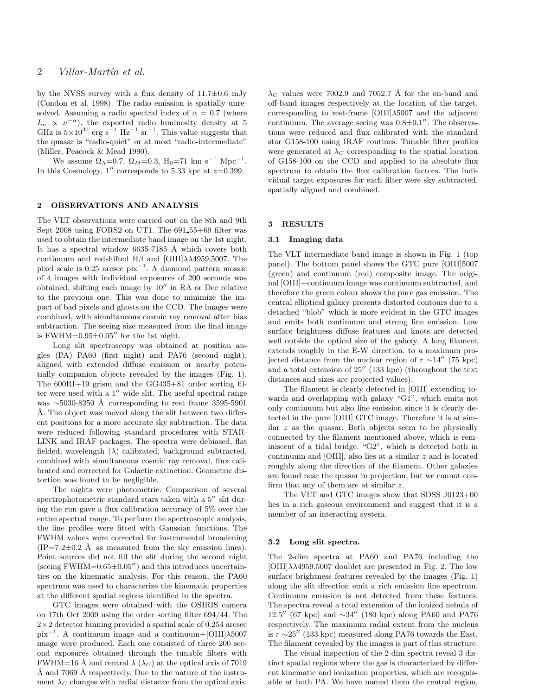by the NVSS survey with a flux density of  $11.7\pm0.6$  mJy (Condon et al. 1998). The radio emission is spatially unresolved. Assuming a radio spectral index of  $\alpha = 0.7$  (where  $L_{\nu} \propto \nu^{-\alpha}$ , the expected radio luminosity density at 5 GHz is  $5\times10^{30}$  erg s<sup>-1</sup> Hz<sup>-1</sup> sr<sup>-1</sup>. This value suggests that the quasar is "radio-quiet" or at most "radio-intermediate" (Miller, Peacock & Mead 1990).

We assume  $\Omega_{\Lambda} = 0.7$ ,  $\Omega_M = 0.3$ ,  $H_0 = 71$  km s<sup>-1</sup> Mpc<sup>-1</sup>. In this Cosmology, 1'' corresponds to 5.33 kpc at  $z=0.399$ .

## 2 OBSERVATIONS AND ANALYSIS

The VLT observations were carried out on the 8th and 9th Sept 2008 using FORS2 on UT1. The 691 55+69 filter was used to obtain the intermediate band image on the 1st night. It has a spectral window  $6635-7185$  Å which covers both continuum and redshifted  $H\beta$  and [OIII] $\lambda\lambda$ 4959,5007. The pixel scale is 0.25 arcsec pix<sup>−</sup><sup>1</sup> . A diamond pattern mosaic of 4 images with individual exposures of 200 seconds was obtained, shifting each image by 10′′ in RA or Dec relative to the previous one. This was done to minimize the impact of bad pixels and ghosts on the CCD. The images were combined, with simultaneous cosmic ray removal after bias subtraction. The seeing size measured from the final image is FWHM= $0.95\pm0.05''$  for the 1st night.

Long slit spectroscopy was obtained at position angles (PA) PA60 (first night) and PA76 (second night), aligned with extended diffuse emission or nearby potentially companion objects revealed by the images (Fig. 1). The 600RI+19 grism and the GG435+81 order sorting filter were used with a 1′′ wide slit. The useful spectral range was ∼5030-8250 Å corresponding to rest frame 3595-5901 Å. The object was moved along the slit between two different positions for a more accurate sky subtraction. The data were reduced following standard procedures with STAR-LINK and IRAF packages. The spectra were debiased, flat fielded, wavelength  $(\lambda)$  calibrated, background subtracted, combined with simultaneous cosmic ray removal, flux calibrated and corrected for Galactic extinction. Geometric distortion was found to be negligible.

The nights were photometric. Comparison of several spectrophotometric standard stars taken with a  $5^{\prime\prime}$  slit during the run gave a flux calibration accuracy of 5% over the entire spectral range. To perform the spectroscopic analysis, the line profiles were fitted with Gaussian functions. The FWHM values were corrected for instrumental broadening  $(IP=7.2\pm0.2 \text{ Å}$  as measured from the sky emission lines). Point sources did not fill the slit during the second night (seeing FWHM= $0.65\pm0.05''$ ) and this introduces uncertainties on the kinematic analysis. For this reason, the PA60 spectrum was used to characterize the kinematic properties at the different spatial regions identified in the spectra.

GTC images were obtained with the OSIRIS camera on 17th Oct 2009 using the order sorting filter 694/44. The  $2\times2$  detector binning provided a spatial scale of 0.254 arcsec pix<sup>−</sup><sup>1</sup> . A continuum image and a continuum+[OIII]λ5007 image were produced. Each one consisted of three 200 second exposures obtained through the tunable filters with FWHM=16 Å and central  $\lambda$  ( $\lambda_C$ ) at the optical axis of 7019 Å and 7069 Å respectively. Due to the nature of the instrument  $\lambda_C$  changes with radial distance from the optical axis.

 $\lambda_C$  values were 7002.9 and 7052.7 Å for the on-band and off-band images respectively at the location of the target, corresponding to rest-frame  $[OIII]\lambda5007$  and the adjacent continuum. The average seeing was  $0.8\pm0.1$ <sup>"</sup>. The observations were reduced and flux calibrated with the standard star G158-100 using IRAF routines. Tunable filter profiles were generated at  $\lambda_C$  corresponding to the spatial location of G158-100 on the CCD and applied to its absolute flux spectrum to obtain the flux calibration factors. The individual target exposures for each filter were sky subtracted, spatially aligned and combined.

## 3 RESULTS

# 3.1 Imaging data

The VLT intermediate band image is shown in Fig. 1 (top panel). The bottom panel shows the GTC pure [OIII]5007 (green) and continuum (red) composite image. The original [OIII]+continuum image was continuum subtracted, and therefore the green colour shows the pure gas emission. The central elliptical galaxy presents distorted contours due to a detached "blob" which is more evident in the GTC images and emits both continuum and strong line emission. Low surface brightness diffuse features and knots are detected well outside the optical size of the galaxy. A long filament extends roughly in the E-W direction, to a maximum projected distance from the nuclear region of  $r \sim 14''$  (75 kpc) and a total extension of 25′′ (133 kpc) (throughout the text distances and sizes are projected values).

The filament is clearly detected in [OIII] extending towards and overlapping with galaxy "G1", which emits not only continuum but also line emission since it is clearly detected in the pure [OIII] GTC image. Therefore it is at similar z as the quasar. Both objects seem to be physically connected by the filament mentioned above, which is reminiscent of a tidal bridge. "G2", which is detected both in continuum and [OIII], also lies at a similar z and is located roughly along the direction of the filament. Other galaxies are found near the quasar in projection, but we cannot confirm that any of them are at similar z.

The VLT and GTC images show that SDSS J0123+00 lies in a rich gaseous environment and suggest that it is a member of an interacting system.

#### 3.2 Long slit spectra.

The 2-dim spectra at PA60 and PA76 including the  $[OIII]\lambda\lambda4959,5007$  doublet are presented in Fig. 2. The low surface brightness features revealed by the images (Fig. 1) along the slit direction emit a rich emission line spectrum. Continuum emission is not detected from these features. The spectra reveal a total extension of the ionized nebula of 12.5′′ (67 kpc) and ∼34′′ (180 kpc) along PA60 and PA76 respectively. The maximum radial extent from the nucleus is  $r \sim 25''$  (133 kpc) measured along PA76 towards the East. The filament revealed by the images is part of this structure.

The visual inspection of the 2-dim spectra reveal 3 distinct spatial regions where the gas is characterized by different kinematic and ionization properties, which are recognisable at both PA. We have named them the central region,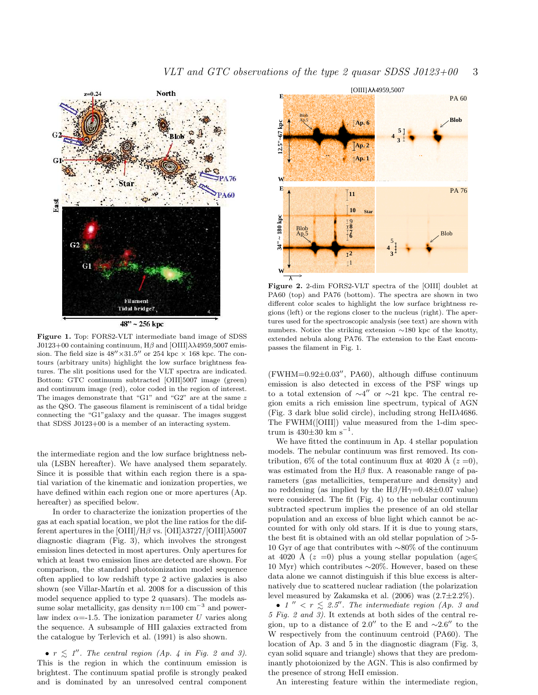

48" ~ 256 kpc

Figure 1. Top: FORS2-VLT intermediate band image of SDSS J0123+00 containing continuum, H $\beta$  and [OIII] $\lambda\lambda$ 4959,5007 emission. The field size is  $48'' \times 31.5''$  or 254 kpc  $\times$  168 kpc. The contours (arbitrary units) highlight the low surface brightness features. The slit positions used for the VLT spectra are indicated. Bottom: GTC continuum subtracted [OIII]5007 image (green) and continuum image (red), color coded in the region of interest. The images demonstrate that "G1" and "G2" are at the same z as the QSO. The gaseous filament is reminiscent of a tidal bridge connecting the "G1"galaxy and the quasar. The images suggest that SDSS J0123+00 is a member of an interacting system.

the intermediate region and the low surface brightness nebula (LSBN hereafter). We have analysed them separately. Since it is possible that within each region there is a spatial variation of the kinematic and ionization properties, we have defined within each region one or more apertures (Ap. hereafter) as specified below.

In order to characterize the ionization properties of the gas at each spatial location, we plot the line ratios for the different apertures in the  $\left[ \text{OIII} \right] / \text{H}\beta$  vs.  $\left[ \text{OII} \right] \lambda 3727 / \left[ \text{OIII} \right] \lambda 5007$ diagnostic diagram (Fig. 3), which involves the strongest emission lines detected in most apertures. Only apertures for which at least two emission lines are detected are shown. For comparison, the standard photoionization model sequence often applied to low redshift type 2 active galaxies is also shown (see Villar-Martín et al. 2008 for a discussion of this model sequence applied to type 2 quasars). The models assume solar metallicity, gas density  $n=100 \text{ cm}^{-3}$  and powerlaw index  $\alpha = -1.5$ . The ionization parameter U varies along the sequence. A subsample of HII galaxies extracted from the catalogue by Terlevich et al. (1991) is also shown.

•  $r \leq 1''$ . The central region (Ap. 4 in Fig. 2 and 3). This is the region in which the continuum emission is brightest. The continuum spatial profile is strongly peaked and is dominated by an unresolved central component



Figure 2. 2-dim FORS2-VLT spectra of the [OIII] doublet at PA60 (top) and PA76 (bottom). The spectra are shown in two different color scales to highlight the low surface brightness regions (left) or the regions closer to the nucleus (right). The apertures used for the spectroscopic analysis (see text) are shown with numbers. Notice the striking extension ∼180 kpc of the knotty, extended nebula along PA76. The extension to the East encompasses the filament in Fig. 1.

(FWHM=0.92±0.03′′, PA60), although diffuse continuum emission is also detected in excess of the PSF wings up to a total extension of  $\sim 4''$  or  $\sim 21$  kpc. The central region emits a rich emission line spectrum, typical of AGN (Fig. 3 dark blue solid circle), including strong HeII $\lambda$ 4686. The FWHM([OIII]) value measured from the 1-dim spectrum is  $430\pm30$  km s<sup>-1</sup>.

We have fitted the continuum in Ap. 4 stellar population models. The nebular continuum was first removed. Its contribution, 6% of the total continuum flux at 4020 Å  $(z=0)$ , was estimated from the  $H\beta$  flux. A reasonable range of parameters (gas metallicities, temperature and density) and no reddening (as implied by the  $H\beta/H\gamma=0.48\pm0.07$  value) were considered. The fit (Fig. 4) to the nebular continuum subtracted spectrum implies the presence of an old stellar population and an excess of blue light which cannot be accounted for with only old stars. If it is due to young stars, the best fit is obtained with an old stellar population of  $>5$ -10 Gyr of age that contributes with ∼80% of the continuum at 4020 Å  $(z = 0)$  plus a young stellar population (age 10 Myr) which contributes ∼20%. However, based on these data alone we cannot distinguish if this blue excess is alternatively due to scattered nuclear radiation (the polarization level measured by Zakamska et al. (2006) was (2.7±2.2%).

• 1''  $\langle r \rangle \leq 2.5''$ . The intermediate region (Ap. 3 and 5 Fig. 2 and 3). It extends at both sides of the central region, up to a distance of 2.0″ to the E and  $\sim$ 2.6″ to the W respectively from the continuum centroid (PA60). The location of Ap. 3 and 5 in the diagnostic diagram (Fig. 3, cyan solid square and triangle) shows that they are predominantly photoionized by the AGN. This is also confirmed by the presence of strong HeII emission.

An interesting feature within the intermediate region,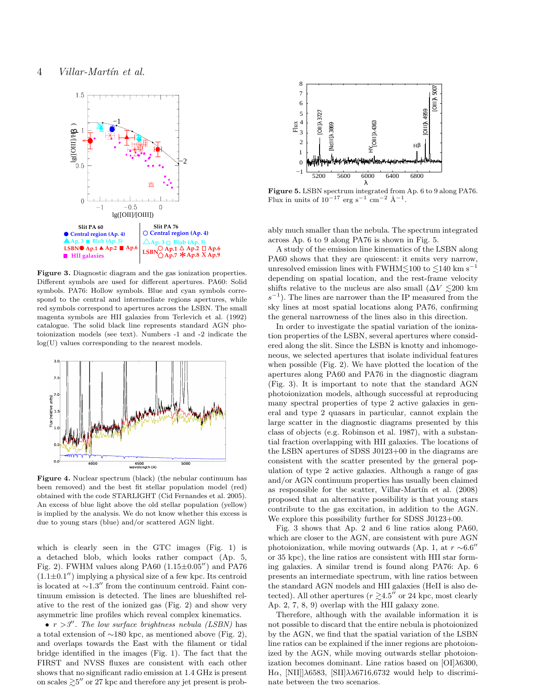

Figure 3. Diagnostic diagram and the gas ionization properties. Different symbols are used for different apertures. PA60: Solid symbols. PA76: Hollow symbols. Blue and cyan symbols correspond to the central and intermediate regions apertures, while red symbols correspond to apertures across the LSBN. The small magenta symbols are HII galaxies from Terlevich et al. (1992) catalogue. The solid black line represents standard AGN photoionization models (see text). Numbers -1 and -2 indicate the log(U) values corresponding to the nearest models.



Figure 4. Nuclear spectrum (black) (the nebular continuum has been removed) and the best fit stellar population model (red) obtained with the code STARLIGHT (Cid Fernandes et al. 2005). An excess of blue light above the old stellar population (yellow) is implied by the analysis. We do not know whether this excess is due to young stars (blue) and/or scattered AGN light.

which is clearly seen in the GTC images (Fig. 1) is a detached blob, which looks rather compact (Ap. 5, Fig. 2). FWHM values along PA60  $(1.15\pm0.05'')$  and PA76  $(1.1\pm0.1'')$  implying a physical size of a few kpc. Its centroid is located at ∼1.3′′ from the continuum centroid. Faint continuum emission is detected. The lines are blueshifted relative to the rest of the ionized gas (Fig. 2) and show very asymmetric line profiles which reveal complex kinematics.

•  $r > 3''$ . The low surface brightness nebula (LSBN) has a total extension of ∼180 kpc, as mentioned above (Fig. 2), and overlaps towards the East with the filament or tidal bridge identified in the images (Fig. 1). The fact that the FIRST and NVSS fluxes are consistent with each other shows that no significant radio emission at 1.4 GHz is present on scales  $\gtrsim 5''$  or 27 kpc and therefore any jet present is prob-



Figure 5. LSBN spectrum integrated from Ap. 6 to 9 along PA76. Flux in units of  $10^{-17}$  erg s<sup>-1</sup> cm<sup>-2</sup> Å<sup>-1</sup>.

ably much smaller than the nebula. The spectrum integrated across Ap. 6 to 9 along PA76 is shown in Fig. 5.

A study of the emission line kinematics of the LSBN along PA60 shows that they are quiescent: it emits very narrow, unresolved emission lines with FWHM $\lesssim$ 100 to  $\lesssim$ 140 km s<sup>-1</sup> depending on spatial location, and the rest-frame velocity shifts relative to the nucleus are also small  $(\Delta V \leq 200 \text{ km})$  $s^{-1}$ ). The lines are narrower than the IP measured from the sky lines at most spatial locations along PA76, confirming the general narrowness of the lines also in this direction.

In order to investigate the spatial variation of the ionization properties of the LSBN, several apertures where considered along the slit. Since the LSBN is knotty and inhomogeneous, we selected apertures that isolate individual features when possible (Fig. 2). We have plotted the location of the apertures along PA60 and PA76 in the diagnostic diagram (Fig. 3). It is important to note that the standard AGN photoionization models, although successful at reproducing many spectral properties of type 2 active galaxies in general and type 2 quasars in particular, cannot explain the large scatter in the diagnostic diagrams presented by this class of objects (e.g. Robinson et al. 1987), with a substantial fraction overlapping with HII galaxies. The locations of the LSBN apertures of SDSS J0123+00 in the diagrams are consistent with the scatter presented by the general population of type 2 active galaxies. Although a range of gas and/or AGN continuum properties has usually been claimed as responsible for the scatter, Villar-Martín et al.  $(2008)$ proposed that an alternative possibility is that young stars contribute to the gas excitation, in addition to the AGN. We explore this possibility further for SDSS J0123+00.

Fig. 3 shows that Ap. 2 and 6 line ratios along PA60, which are closer to the AGN, are consistent with pure AGN photoionization, while moving outwards (Ap. 1, at  $r \sim 6.6''$ or 35 kpc), the line ratios are consistent with HII star forming galaxies. A similar trend is found along PA76: Ap. 6 presents an intermediate spectrum, with line ratios between the standard AGN models and HII galaxies (HeII is also detected). All other apertures ( $r \ge 4.5''$  or 24 kpc, most clearly Ap. 2, 7, 8, 9) overlap with the HII galaxy zone.

Therefore, although with the available information it is not possible to discard that the entire nebula is photoionized by the AGN, we find that the spatial variation of the LSBN line ratios can be explained if the inner regions are photoionized by the AGN, while moving outwards stellar photoionization becomes dominant. Line ratios based on  $[OI]\lambda6300$ , Hα, [NII]]λ6583, [SII]λλ6716,6732 would help to discriminate between the two scenarios.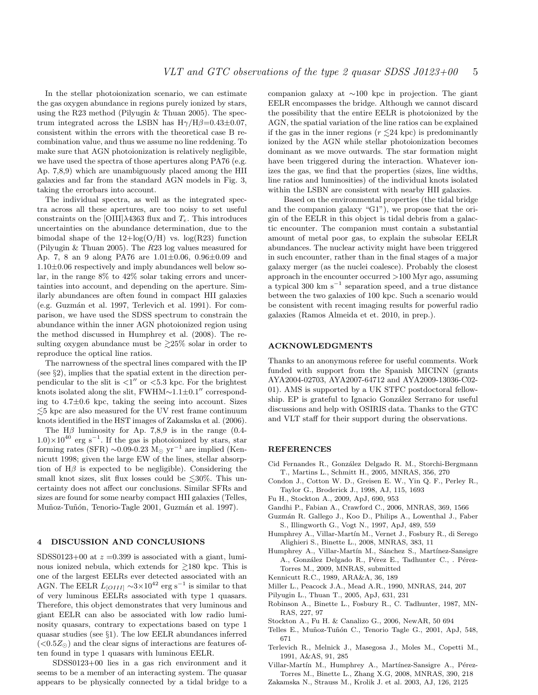In the stellar photoionization scenario, we can estimate the gas oxygen abundance in regions purely ionized by stars, using the R23 method (Pilyugin & Thuan 2005). The spectrum integrated across the LSBN has  $H\gamma/H\beta=0.43\pm0.07$ , consistent within the errors with the theoretical case B recombination value, and thus we assume no line reddening. To make sure that AGN photoionization is relatively negligible, we have used the spectra of those apertures along PA76 (e.g. Ap. 7,8,9) which are unambiguously placed among the HII galaxies and far from the standard AGN models in Fig. 3, taking the errorbars into account.

The individual spectra, as well as the integrated spectra across all these apertures, are too noisy to set useful constraints on the [OIII] $\lambda$ 4363 flux and  $T_e$ . This introduces uncertainties on the abundance determination, due to the bimodal shape of the  $12 + \log(O/H)$  vs.  $\log(R23)$  function (Pilyugin & Thuan 2005). The R23 log values measured for Ap. 7, 8 an 9 along PA76 are 1.01±0.06, 0.96±0.09 and 1.10±0.06 respectively and imply abundances well below solar, in the range 8% to 42% solar taking errors and uncertainties into account, and depending on the aperture. Similarly abundances are often found in compact HII galaxies  $(e.g. Guzmán et al. 1997, Terlevich et al. 1991). For comm$ parison, we have used the SDSS spectrum to constrain the abundance within the inner AGN photoionized region using the method discussed in Humphrey et al. (2008). The resulting oxygen abundance must be  $\geq 25\%$  solar in order to reproduce the optical line ratios.

The narrowness of the spectral lines compared with the IP (see §2), implies that the spatial extent in the direction perpendicular to the slit is  $\langle 1'' \text{ or } \langle 5.3 \text{ kpc.} \rangle$  For the brightest knots isolated along the slit, FWHM∼1.1±0.1′′ corresponding to 4.7±0.6 kpc, taking the seeing into account. Sizes  $\lesssim$ 5 kpc are also measured for the UV rest frame continuum knots identified in the HST images of Zakamska et al. (2006).

The H $\beta$  luminosity for Ap. 7,8,9 is in the range (0.4- $1.0\times10^{40}$  erg s<sup>-1</sup>. If the gas is photoionized by stars, star forming rates (SFR)  $\sim 0.09$ -0.23 M<sub>☉</sub> yr<sup>-1</sup> are implied (Kennicutt 1998; given the large EW of the lines, stellar absorption of  $H\beta$  is expected to be negligible). Considering the small knot sizes, slit flux losses could be  $\leq 30\%$ . This uncertainty does not affect our conclusions. Similar SFRs and sizes are found for some nearby compact HII galaxies (Telles, Muñoz-Tuñón, Tenorio-Tagle 2001, Guzmán et al. 1997).

#### 4 DISCUSSION AND CONCLUSIONS

SDSS0123+00 at  $z = 0.399$  is associated with a giant, luminous ionized nebula, which extends for  $\geq 180$  kpc. This is one of the largest EELRs ever detected associated with an AGN. The EELR  $L_{[OIII]} \sim 3 \times 10^{42}$  erg s<sup>-1</sup> is similar to that of very luminous EELRs associated with type 1 quasars. Therefore, this object demonstrates that very luminous and giant EELR can also be associated with low radio luminosity quasars, contrary to expectations based on type 1 quasar studies (see §1). The low EELR abundances inferred  $(<0.5Z_{\odot})$  and the clear signs of interactions are features often found in type 1 quasars with luminous EELR.

SDSS0123+00 lies in a gas rich environment and it seems to be a member of an interacting system. The quasar appears to be physically connected by a tidal bridge to a

companion galaxy at ∼100 kpc in projection. The giant EELR encompasses the bridge. Although we cannot discard the possibility that the entire EELR is photoionized by the AGN, the spatial variation of the line ratios can be explained if the gas in the inner regions  $(r \leq 24 \text{ kpc})$  is predominantly ionized by the AGN while stellar photoionization becomes dominant as we move outwards. The star formation might have been triggered during the interaction. Whatever ionizes the gas, we find that the properties (sizes, line widths, line ratios and luminosities) of the individual knots isolated within the LSBN are consistent with nearby HII galaxies.

Based on the environmental properties (the tidal bridge and the companion galaxy "G1"), we propose that the origin of the EELR in this object is tidal debris from a galactic encounter. The companion must contain a substantial amount of metal poor gas, to explain the subsolar EELR abundances. The nuclear activity might have been triggered in such encounter, rather than in the final stages of a major galaxy merger (as the nuclei coalesce). Probably the closest approach in the encounter occurred >100 Myr ago, assuming a typical 300 km s<sup>−</sup><sup>1</sup> separation speed, and a true distance between the two galaxies of 100 kpc. Such a scenario would be consistent with recent imaging results for powerful radio galaxies (Ramos Almeida et et. 2010, in prep.).

# ACKNOWLEDGMENTS

Thanks to an anonymous referee for useful comments. Work funded with support from the Spanish MICINN (grants AYA2004-02703, AYA2007-64712 and AYA2009-13036-C02- 01). AMS is supported by a UK STFC postdoctoral fellowship. EP is grateful to Ignacio González Serrano for useful discussions and help with OSIRIS data. Thanks to the GTC and VLT staff for their support during the observations.

# **REFERENCES**

- Cid Fernandes R., González Delgado R. M., Storchi-Bergmann T., Martins L., Schmitt H., 2005, MNRAS, 356, 270
- Condon J., Cotton W. D., Greisen E. W., Yin Q. F., Perley R., Taylor G., Broderick J., 1998, AJ, 115, 1693
- Fu H., Stockton A., 2009, ApJ, 690, 953
- Gandhi P., Fabian A., Crawford C., 2006, MNRAS, 369, 1566
- Guzm´an R. Gallego J., Koo D., Philips A., Lowenthal J., Faber S., Illingworth G., Vogt N., 1997, ApJ, 489, 559
- Humphrey A., Villar-Martín M., Vernet J., Fosbury R., di Serego Alighieri S., Binette L., 2008, MNRAS, 383, 11
- Humphrey A., Villar-Martín M., Sánchez S., Martínez-Sansigre A., González Delgado R., Pérez E., Tadhunter C., . Pérez-Torres M., 2009, MNRAS, submitted
- Kennicutt R.C., 1989, ARA&A, 36, 189
- Miller L., Peacock J.A., Mead A.R., 1990, MNRAS, 244, 207
- Pilyugin L., Thuan T., 2005, ApJ, 631, 231
- Robinson A., Binette L., Fosbury R., C. Tadhunter, 1987, MN-RAS, 227, 97
- Stockton A., Fu H. & Canalizo G., 2006, NewAR, 50 694
- Telles E., Muñoz-Tuñón C., Tenorio Tagle G., 2001, ApJ, 548, 671
- Terlevich R., Melnick J., Masegosa J., Moles M., Copetti M., 1991, A&AS, 91, 285
- Villar-Martín M., Humphrey A., Martínez-Sansigre A., Pérez-Torres M., Binette L., Zhang X.G, 2008, MNRAS, 390, 218
- Zakamska N., Strauss M., Krolik J. et al. 2003, AJ, 126, 2125